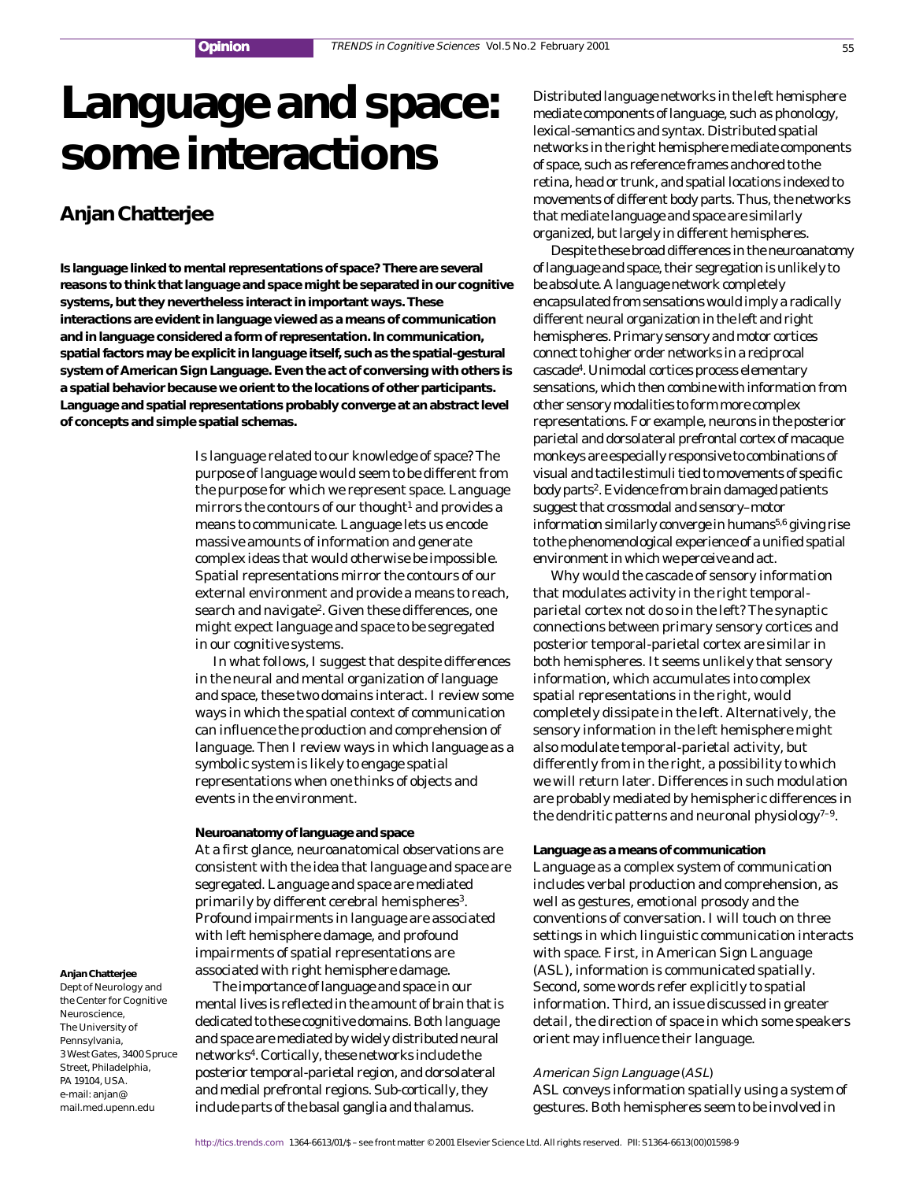# **Language and space: some interactions**

# **Anjan Chatterjee**

**Is language linked to mental representations of space? There are several reasons to think that language and space might be separated in our cognitive systems, but they nevertheless interact in important ways. These interactions are evident in language viewed as a means of communication and in language considered a form of representation. In communication, spatial factors may be explicit in language itself, such as the spatial-gestural system of American Sign Language. Even the act of conversing with others is a spatial behavior because we orient to the locations of other participants. Language and spatial representations probably converge at an abstract level of concepts and simple spatial schemas.**

> Is language related to our knowledge of space? The purpose of language would seem to be different from the purpose for which we represent space. Language mirrors the contours of our thought<sup>1</sup> and provides a means to communicate. Language lets us encode massive amounts of information and generate complex ideas that would otherwise be impossible. Spatial representations mirror the contours of our external environment and provide a means to reach, search and navigate<sup>2</sup>. Given these differences, one might expect language and space to be segregated in our cognitive systems.

In what follows, I suggest that despite differences in the neural and mental organization of language and space, these two domains interact. I review some ways in which the spatial context of communication can influence the production and comprehension of language. Then I review ways in which language as a symbolic system is likely to engage spatial representations when one thinks of objects and events in the environment.

**Neuroanatomy of language and space** At a first glance, neuroanatomical observations are consistent with the idea that language and space are segregated. Language and space are mediated primarily by different cerebral hemispheres<sup>3</sup>. Profound impairments in language are associated with left hemisphere damage, and profound impairments of spatial representations are associated with right hemisphere damage.

The importance of language and space in our mental lives is reflected in the amount of brain that is dedicated to these cognitive domains. Both language and space are mediated by widely distributed neural networks<sup>4</sup>. Cortically, these networks include the posterior temporal-parietal region, and dorsolateral and medial prefrontal regions. Sub-cortically, they include parts of the basal ganglia and thalamus.

Distributed language networks in the left hemisphere mediate components of language, such as phonology, lexical-semantics and syntax. Distributed spatial networks in the right hemisphere mediate components of space, such as reference frames anchored to the retina, head or trunk, and spatial locations indexed to movements of different body parts. Thus, the networks that mediate language and space are similarly organized, but largely in different hemispheres.

Despite these broad differences in the neuroanatomy of language and space, their segregation is unlikely to be absolute. A language network completely encapsulated from sensations would imply a radically different neural organization in the left and right hemispheres. Primary sensory and motor cortices connect to higher order networks in a reciprocal cascade4. Unimodal cortices process elementary sensations, which then combine with information from other sensory modalities to form more complex representations. For example, neurons in the posterior parietal and dorsolateral prefrontal cortex of macaque monkeys are especially responsive to combinations of visual and tactile stimuli tied to movements of specific body parts<sup>2</sup>. Evidence from brain damaged patients suggest that crossmodal and sensory–motor information similarly converge in humans<sup>5,6</sup> giving rise to the phenomenological experience of a unified spatial environment in which we perceive and act.

Why would the cascade of sensory information that modulates activity in the right temporalparietal cortex not do so in the left? The synaptic connections between primary sensory cortices and posterior temporal-parietal cortex are similar in both hemispheres. It seems unlikely that sensory information, which accumulates into complex spatial representations in the right, would completely dissipate in the left. Alternatively, the sensory information in the left hemisphere might also modulate temporal-parietal activity, but differently from in the right, a possibility to which we will return later. Differences in such modulation are probably mediated by hemispheric differences in the dendritic patterns and neuronal physiology<sup> $7-9$ </sup>.

#### **Language as a means of communication**

Language as a complex system of communication includes verbal production and comprehension, as well as gestures, emotional prosody and the conventions of conversation. I will touch on three settings in which linguistic communication interacts with space. First, in American Sign Language (ASL), information is communicated spatially. Second, some words refer explicitly to spatial information. Third, an issue discussed in greater detail, the direction of space in which some speakers orient may influence their language.

# American Sign Language (ASL)

ASL conveys information spatially using a system of gestures. Both hemispheres seem to be involved in

**Anjan Chatterjee** Dept of Neurology and

the Center for Cognitive Neuroscience, The University of Pennsylvania, 3 West Gates, 3400 Spruce Street, Philadelphia, PA 19104, USA. e-mail: anjan@ mail.med.upenn.edu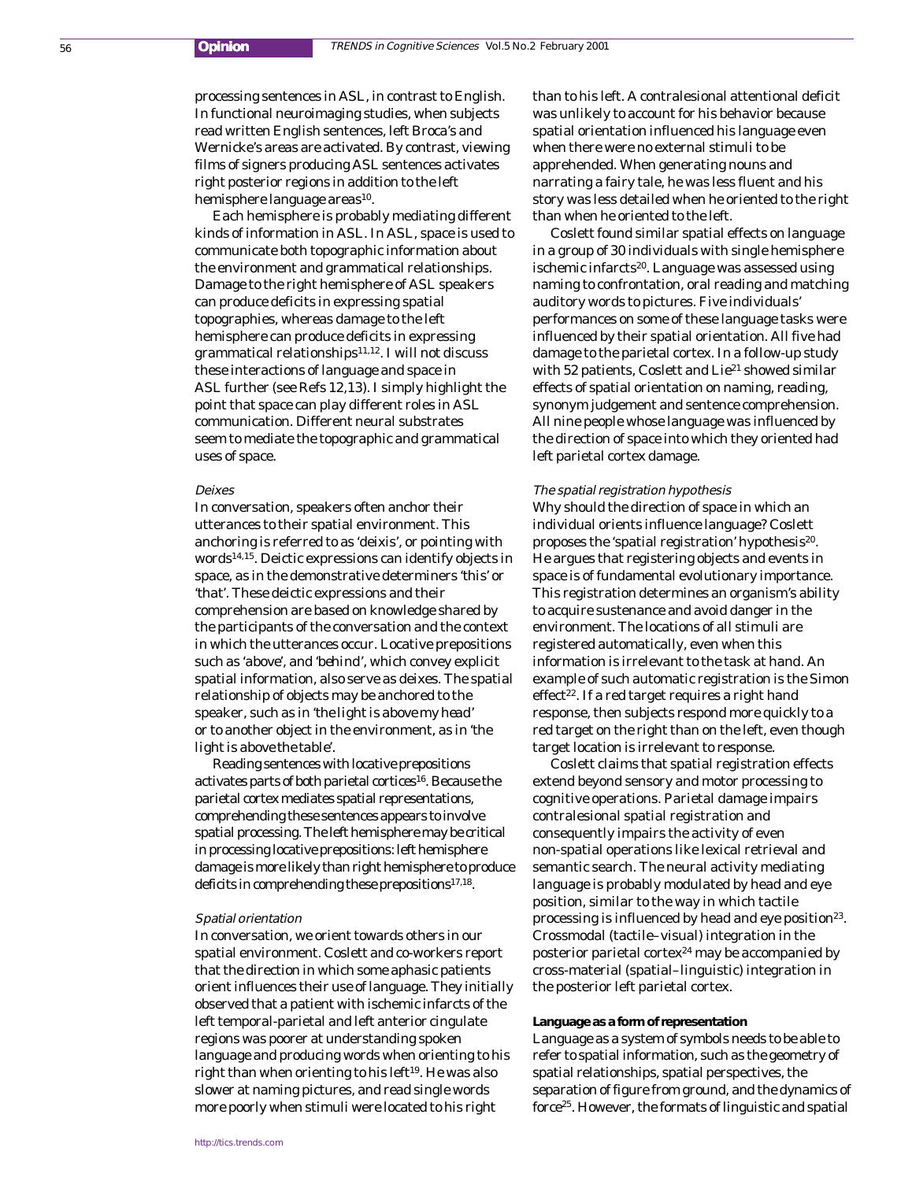processing sentences in ASL, in contrast to English. In functional neuroimaging studies, when subjects read written English sentences, left Broca's and Wernicke's areas are activated. By contrast, viewing films of signers producing ASL sentences activates right posterior regions in addition to the left hemisphere language areas<sup>10</sup>.

Each hemisphere is probably mediating different kinds of information in ASL. In ASL, space is used to communicate both topographic information about the environment and grammatical relationships. Damage to the right hemisphere of ASL speakers can produce deficits in expressing spatial topographies, whereas damage to the left hemisphere can produce deficits in expressing grammatical relationships11,12. I will not discuss these interactions of language and space in ASL further (see Refs 12,13). I simply highlight the point that space can play different roles in ASL communication. Different neural substrates seem to mediate the topographic and grammatical uses of space.

#### Deixes

In conversation, speakers often anchor their utterances to their spatial environment. This anchoring is referred to as 'deixis', or pointing with words<sup>14,15</sup>. Deictic expressions can identify objects in space, as in the demonstrative determiners '*this*' or '*that*'. These deictic expressions and their comprehension are based on knowledge shared by the participants of the conversation and the context in which the utterances occur. Locative prepositions such as '*above*', and '*behind*', which convey explicit spatial information, also serve as deixes. The spatial relationship of objects may be anchored to the speaker, such as in '*the light is above my head*' or to another object in the environment, as in '*the light is above the table*'.

Reading sentences with locative prepositions activates parts of both parietal cortices<sup>16</sup>. Because the parietal cortex mediates spatial representations, comprehending these sentences appears to involve spatial processing. The left hemisphere may be critical in processing locative prepositions: left hemisphere damage is more likely than right hemisphere to produce deficits in comprehending these prepositions<sup>17,18</sup>.

#### Spatial orientation

In conversation, we orient towards others in our spatial environment. Coslett and co-workers report that the direction in which some aphasic patients orient influences their use of language. They initially observed that a patient with ischemic infarcts of the left temporal-parietal and left anterior cingulate regions was poorer at understanding spoken language and producing words when orienting to his right than when orienting to his left $19$ . He was also slower at naming pictures, and read single words more poorly when stimuli were located to his right

than to his left. A contralesional attentional deficit was unlikely to account for his behavior because spatial orientation influenced his language even when there were no external stimuli to be apprehended. When generating nouns and narrating a fairy tale, he was less fluent and his story was less detailed when he oriented to the right than when he oriented to the left.

Coslett found similar spatial effects on language in a group of 30 individuals with single hemisphere ischemic infarcts<sup>20</sup>. Language was assessed using naming to confrontation, oral reading and matching auditory words to pictures. Five individuals' performances on some of these language tasks were influenced by their spatial orientation. All five had damage to the parietal cortex. In a follow-up study with 52 patients, Coslett and Lie<sup>21</sup> showed similar effects of spatial orientation on naming, reading, synonym judgement and sentence comprehension. All nine people whose language was influenced by the direction of space into which they oriented had left parietal cortex damage.

## The spatial registration hypothesis

Why should the direction of space in which an individual orients influence language? Coslett proposes the 'spatial registration' hypothesis<sup>20</sup>. He argues that registering objects and events in space is of fundamental evolutionary importance. This registration determines an organism's ability to acquire sustenance and avoid danger in the environment. The locations of all stimuli are registered automatically, even when this information is irrelevant to the task at hand. An example of such automatic registration is the Simon  $effect<sup>22</sup>$ . If a red target requires a right hand response, then subjects respond more quickly to a red target on the right than on the left, even though target location is irrelevant to response.

Coslett claims that spatial registration effects extend beyond sensory and motor processing to cognitive operations. Parietal damage impairs contralesional spatial registration and consequently impairs the activity of even non-spatial operations like lexical retrieval and semantic search. The neural activity mediating language is probably modulated by head and eye position, similar to the way in which tactile processing is influenced by head and eye position<sup>23</sup>. Crossmodal (tactile–visual) integration in the posterior parietal cortex<sup>24</sup> may be accompanied by cross-material (spatial–linguistic) integration in the posterior left parietal cortex.

# **Language as a form of representation**

Language as a system of symbols needs to be able to refer to spatial information, such as the geometry of spatial relationships, spatial perspectives, the separation of figure from ground, and the dynamics of force25. However, the formats of linguistic and spatial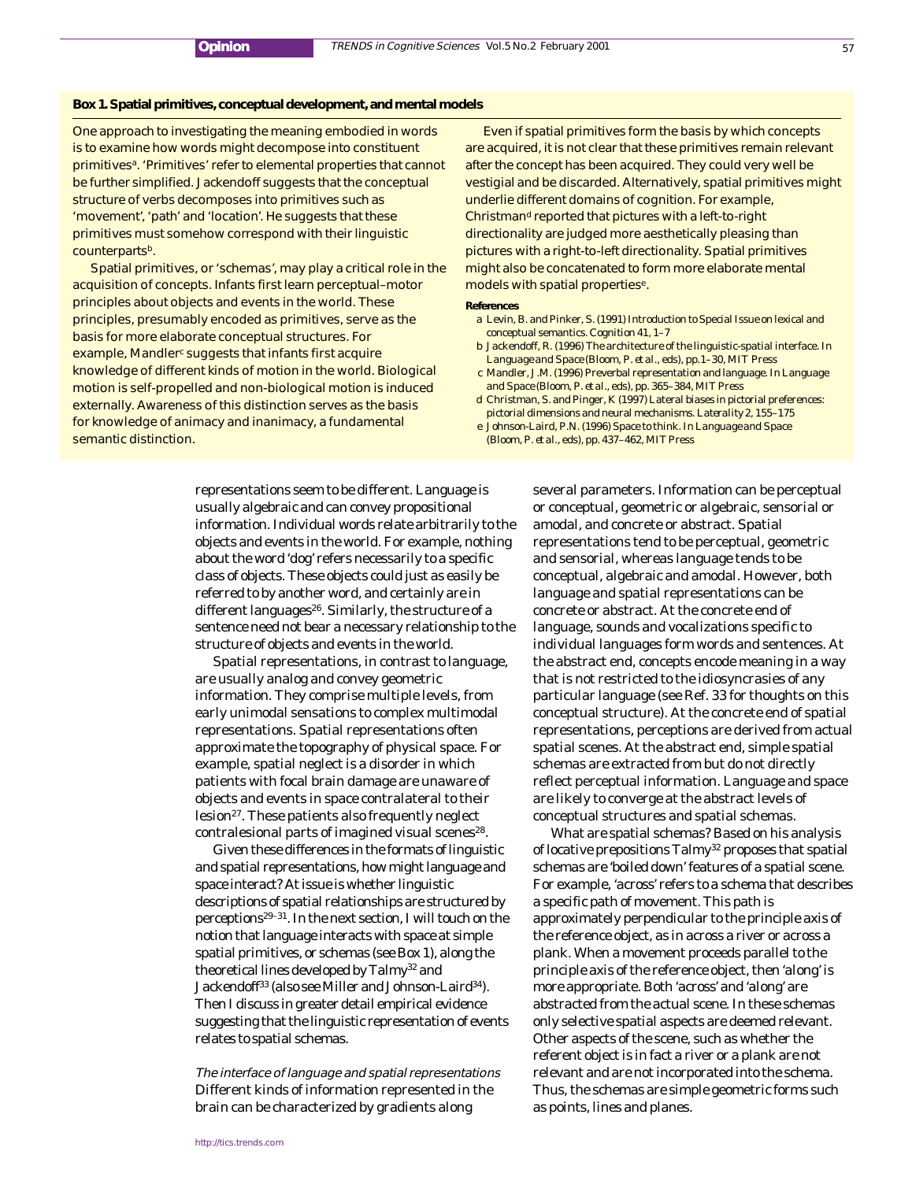# **Box 1. Spatial primitives, conceptual development, and mental models**

One approach to investigating the meaning embodied in words is to examine how words might decompose into constituent primitives<sup>a</sup>. 'Primitives' refer to elemental properties that cannot be further simplified. Jackendoff suggests that the conceptual structure of verbs decomposes into primitives such as 'movement', 'path' and 'location'. He suggests that these primitives must somehow correspond with their linguistic counterparts<sup>b</sup>.

Spatial primitives, or 'schemas', may play a critical role in the acquisition of concepts. Infants first learn perceptual–motor principles about objects and events in the world. These principles, presumably encoded as primitives, serve as the basis for more elaborate conceptual structures. For example, Mandler $c$  suggests that infants first acquire knowledge of different kinds of motion in the world. Biological motion is self-propelled and non-biological motion is induced externally. Awareness of this distinction serves as the basis for knowledge of animacy and inanimacy, a fundamental semantic distinction.

Even if spatial primitives form the basis by which concepts are acquired, it is not clear that these primitives remain relevant after the concept has been acquired. They could very well be vestigial and be discarded. Alternatively, spatial primitives might underlie different domains of cognition. For example, Christman<sup>d</sup> reported that pictures with a left-to-right directionality are judged more aesthetically pleasing than pictures with a right-to-left directionality. Spatial primitives might also be concatenated to form more elaborate mental models with spatial properties<sup>e</sup>.

**References**

- a Levin, B. and Pinker, S. (1991) Introduction to Special Issue on lexical and conceptual semantics. *Cognition* 41, 1–7
- b Jackendoff, R. (1996) The architecture of the linguistic-spatial interface. In *Language and Space* (Bloom, P. *et al*., eds), pp.1–30, MIT Press
- c Mandler, J.M. (1996) Preverbal representation and language. In *Language and Space* (Bloom, P. *et al*., eds), pp. 365–384, MIT Press
- d Christman, S. and Pinger, K (1997) Lateral biases in pictorial preferences: pictorial dimensions and neural mechanisms. *Laterality* 2, 155–175
- e Johnson-Laird, P.N. (1996) Space to think. In *Language and Space*  (Bloom, P. *et al*., eds), pp. 437–462, MIT Press

representations seem to be different. Language is usually algebraic and can convey propositional information. Individual words relate arbitrarily to the objects and events in the world. For example, nothing about the word '*dog*' refers necessarily to a specific class of objects. These objects could just as easily be referred to by another word, and certainly are in different languages $^{26}$ . Similarly, the structure of a sentence need not bear a necessary relationship to the structure of objects and events in the world.

Spatial representations, in contrast to language, are usually analog and convey geometric information. They comprise multiple levels, from early unimodal sensations to complex multimodal representations. Spatial representations often approximate the topography of physical space. For example, spatial neglect is a disorder in which patients with focal brain damage are unaware of objects and events in space contralateral to their lesion<sup>27</sup>. These patients also frequently neglect contralesional parts of imagined visual scenes<sup>28</sup>.

Given these differences in the formats of linguistic and spatial representations, how might language and space interact? At issue is whether linguistic descriptions of spatial relationships are structured by perceptions29–31. In the next section, I will touch on the notion that language interacts with space at simple spatial primitives, or schemas (see Box 1), along the theoretical lines developed by Talmy<sup>32</sup> and Jackendoff<sup>33</sup> (also see Miller and Johnson-Laird<sup>34</sup>). Then I discuss in greater detail empirical evidence suggesting that the linguistic representation of events relates to spatial schemas.

The interface of language and spatial representations Different kinds of information represented in the brain can be characterized by gradients along

several parameters. Information can be perceptual or conceptual, geometric or algebraic, sensorial or amodal, and concrete or abstract. Spatial representations tend to be perceptual, geometric and sensorial, whereas language tends to be conceptual, algebraic and amodal. However, both language and spatial representations can be concrete or abstract. At the concrete end of language, sounds and vocalizations specific to individual languages form words and sentences. At the abstract end, concepts encode meaning in a way that is not restricted to the idiosyncrasies of any particular language (see Ref. 33 for thoughts on this conceptual structure). At the concrete end of spatial representations, perceptions are derived from actual spatial scenes. At the abstract end, simple spatial schemas are extracted from but do not directly reflect perceptual information. Language and space are likely to converge at the abstract levels of conceptual structures and spatial schemas.

What are spatial schemas? Based on his analysis of locative prepositions Talmy32 proposes that spatial schemas are 'boiled down' features of a spatial scene. For example, '*across*' refers to a schema that describes a specific path of movement. This path is approximately perpendicular to the principle axis of the reference object, as in across a river or across a plank. When a movement proceeds parallel to the principle axis of the reference object, then '*along*' is more appropriate. Both '*across*' and '*along*' are abstracted from the actual scene. In these schemas only selective spatial aspects are deemed relevant. Other aspects of the scene, such as whether the referent object is in fact a river or a plank are not relevant and are not incorporated into the schema. Thus, the schemas are simple geometric forms such as points, lines and planes.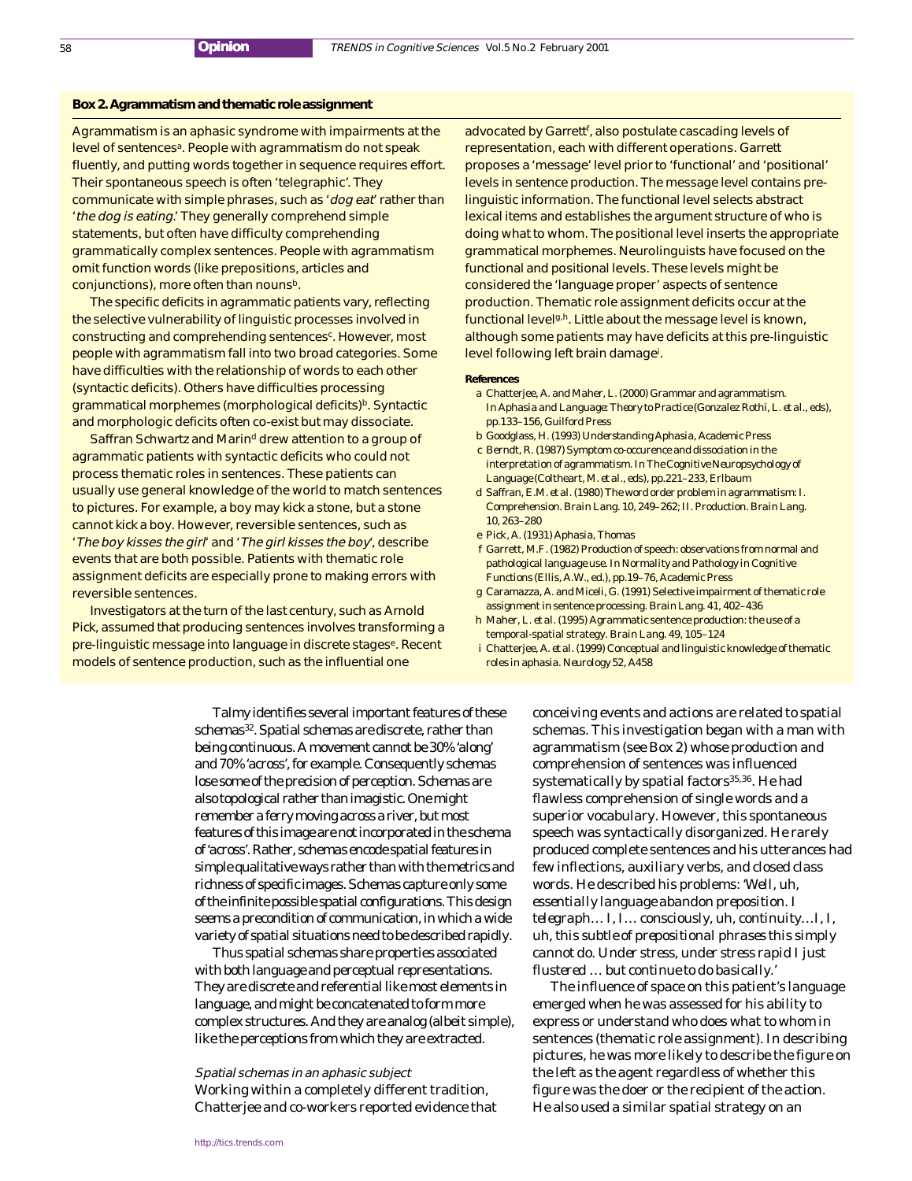# **Box 2. Agrammatism and thematic role assignment**

Agrammatism is an aphasic syndrome with impairments at the level of sentences<sup>a</sup>. People with agrammatism do not speak fluently, and putting words together in sequence requires effort. Their spontaneous speech is often 'telegraphic'. They communicate with simple phrases, such as 'dog eat' rather than 'the dog is eating.' They generally comprehend simple statements, but often have difficulty comprehending grammatically complex sentences. People with agrammatism omit function words (like prepositions, articles and conjunctions), more often than nouns<sup>b</sup>.

The specific deficits in agrammatic patients vary, reflecting the selective vulnerability of linguistic processes involved in constructing and comprehending sentences<sup>c</sup>. However, most people with agrammatism fall into two broad categories. Some have difficulties with the relationship of words to each other (syntactic deficits). Others have difficulties processing grammatical morphemes (morphological deficits)<sup>b</sup>. Syntactic and morphologic deficits often co-exist but may dissociate.

Saffran Schwartz and Marin<sup>d</sup> drew attention to a group of agrammatic patients with syntactic deficits who could not process thematic roles in sentences. These patients can usually use general knowledge of the world to match sentences to pictures. For example, a boy may kick a stone, but a stone cannot kick a boy. However, reversible sentences, such as 'The boy kisses the girl' and 'The girl kisses the boy', describe events that are both possible. Patients with thematic role assignment deficits are especially prone to making errors with reversible sentences.

Investigators at the turn of the last century, such as Arnold Pick, assumed that producing sentences involves transforming a pre-linguistic message into language in discrete stages<sup>e</sup>. Recent models of sentence production, such as the influential one

advocated by Garrett<sup>f</sup>, also postulate cascading levels of representation, each with different operations. Garrett proposes a 'message' level prior to 'functional' and 'positional' levels in sentence production. The message level contains prelinguistic information. The functional level selects abstract lexical items and establishes the argument structure of who is doing what to whom. The positional level inserts the appropriate grammatical morphemes. Neurolinguists have focused on the functional and positional levels. These levels might be considered the 'language proper' aspects of sentence production. Thematic role assignment deficits occur at the functional level<sup>g,h</sup>. Little about the message level is known, although some patients may have deficits at this pre-linguistic level following left brain damagei .

#### **References**

- a Chatterjee, A. and Maher, L. (2000) Grammar and agrammatism. In *Aphasia and Language: Theory to Practice* (Gonzalez Rothi, L. *et al*., eds), pp.133–156, Guilford Press
- b Goodglass, H. (1993) *Understanding Aphasia*, Academic Press
- c Berndt, R. (1987) Symptom co-occurence and dissociation in the interpretation of agrammatism. In *The Cognitive Neuropsychology of Language* (Coltheart, M. *et al*., eds), pp.221–233, Erlbaum
- d Saffran, E.M. *et al*. (1980) The word order problem in agrammatism: I. Comprehension. *Brain Lang.* 10, 249–262; II. Production. *Brain Lang.* 10, 263–280
- e Pick, A. (1931) *Aphasia*, Thomas
- f Garrett, M.F. (1982) Production of speech: observations from normal and pathological language use. In *Normality and Pathology in Cognitive Functions* (Ellis, A.W., ed.), pp.19–76, Academic Press
- g Caramazza, A. and Miceli, G. (1991) Selective impairment of thematic role assignment in sentence processing. *Brain Lang.* 41, 402–436
- h Maher, L. *et al.* (1995) Agrammatic sentence production: the use of a temporal-spatial strategy. *Brain Lang.* 49, 105–124
- i Chatterjee, A. *et al.* (1999) Conceptual and linguistic knowledge of thematic roles in aphasia. *Neurology* 52, A458

Talmy identifies several important features of these schemas<sup>32</sup>. Spatial schemas are discrete, rather than being continuous. A movement cannot be 30% 'along' and 70% 'across', for example. Consequently schemas lose some of the precision of perception. Schemas are also topological rather than imagistic. One might remember a ferry moving across a river, but most features of this image are not incorporated in the schema of 'across'. Rather, schemas encode spatial features in simple qualitative ways rather than with the metrics and richness of specific images. Schemas capture only some of the infinite possible spatial configurations. This design seems a precondition of communication, in which a wide variety of spatial situations need to be described rapidly.

Thus spatial schemas share properties associated with both language and perceptual representations. They are discrete and referential like most elements in language, and might be concatenated to form more complex structures. And they are analog (albeit simple), like the perceptions from which they are extracted.

## Spatial schemas in an aphasic subject

Working within a completely different tradition, Chatterjee and co-workers reported evidence that conceiving events and actions are related to spatial schemas. This investigation began with a man with agrammatism (see Box 2) whose production and comprehension of sentences was influenced systematically by spatial factors<sup>35,36</sup>. He had flawless comprehension of single words and a superior vocabulary. However, this spontaneous speech was syntactically disorganized. He rarely produced complete sentences and his utterances had few inflections, auxiliary verbs, and closed class words. He described his problems: '*Well, uh, essentially language abandon preposition. I telegraph… I, I… consciously, uh, continuity…I, I, uh, this subtle of prepositional phrases this simply cannot do. Under stress, under stress rapid I just flustered … but continue to do basically*.'

The influence of space on this patient's language emerged when he was assessed for his ability to express or understand who does what to whom in sentences (thematic role assignment). In describing pictures, he was more likely to describe the figure on the left as the agent regardless of whether this figure was the doer or the recipient of the action. He also used a similar spatial strategy on an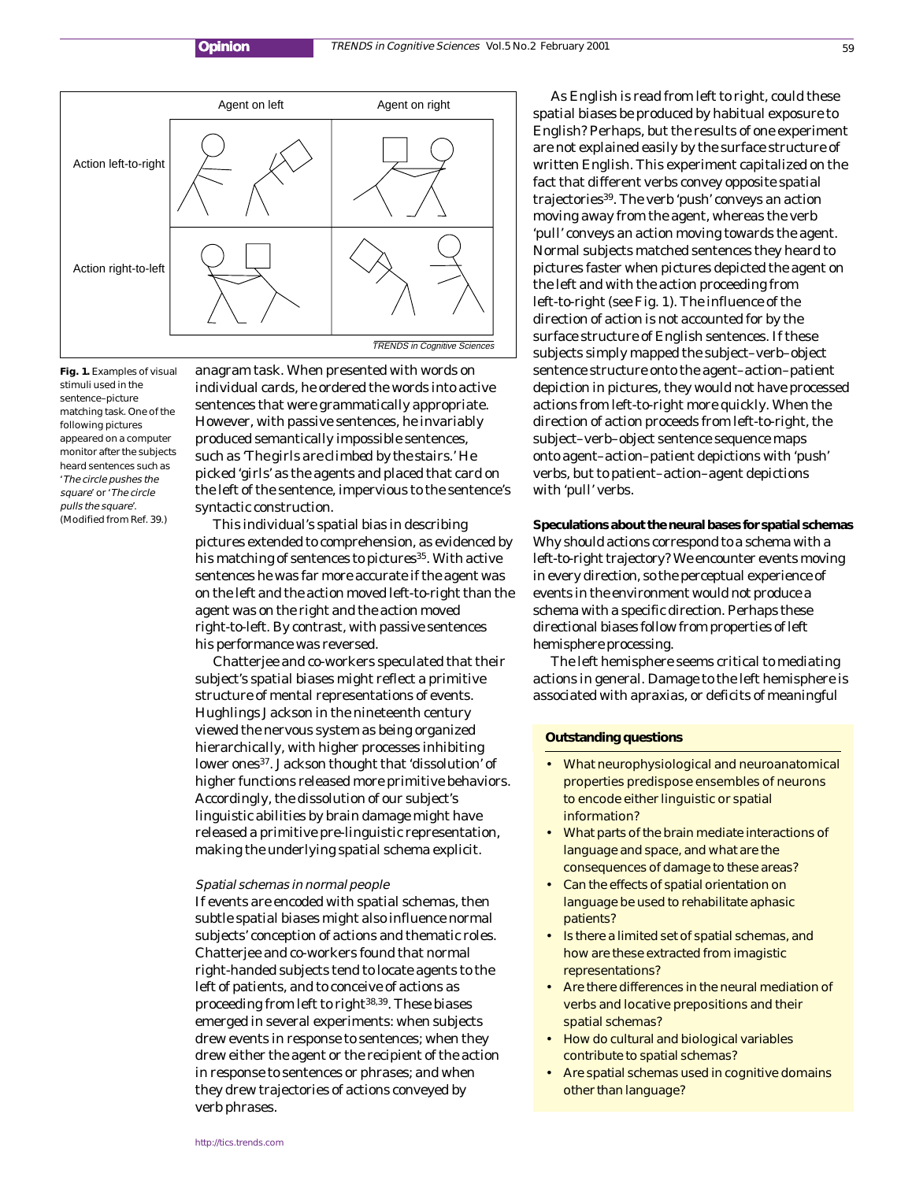

**Fig. 1.** Examples of visual stimuli used in the sentence–picture matching task. One of the following pictures appeared on a computer monitor after the subjects heard sentences such as 'The circle pushes the square' or 'The circle pulls the square'. (Modified from Ref. 39.)

anagram task. When presented with words on individual cards, he ordered the words into active sentences that were grammatically appropriate. However, with passive sentences, he invariably produced semantically impossible sentences, such as '*The girls are climbed by the stairs.*' He picked '*girls*' as the agents and placed that card on the left of the sentence, impervious to the sentence's syntactic construction.

This individual's spatial bias in describing pictures extended to comprehension, as evidenced by his matching of sentences to pictures<sup>35</sup>. With active sentences he was far more accurate if the agent was on the left and the action moved left-to-right than the agent was on the right and the action moved right-to-left. By contrast, with passive sentences his performance was reversed.

Chatterjee and co-workers speculated that their subject's spatial biases might reflect a primitive structure of mental representations of events. Hughlings Jackson in the nineteenth century viewed the nervous system as being organized hierarchically, with higher processes inhibiting lower ones<sup>37</sup>. Jackson thought that 'dissolution' of higher functions released more primitive behaviors. Accordingly, the dissolution of our subject's linguistic abilities by brain damage might have released a primitive pre-linguistic representation, making the underlying spatial schema explicit.

#### Spatial schemas in normal people

If events are encoded with spatial schemas, then subtle spatial biases might also influence normal subjects' conception of actions and thematic roles. Chatterjee and co-workers found that normal right-handed subjects tend to locate agents to the left of patients, and to conceive of actions as proceeding from left to right<sup>38,39</sup>. These biases emerged in several experiments: when subjects drew events in response to sentences; when they drew either the agent or the recipient of the action in response to sentences or phrases; and when they drew trajectories of actions conveyed by verb phrases.

As English is read from left to right, could these spatial biases be produced by habitual exposure to English? Perhaps, but the results of one experiment are not explained easily by the surface structure of written English. This experiment capitalized on the fact that different verbs convey opposite spatial trajectories39. The verb '*push*' conveys an action moving away from the agent, whereas the verb '*pull*' conveys an action moving towards the agent. Normal subjects matched sentences they heard to pictures faster when pictures depicted the agent on the left and with the action proceeding from left-to-right (see Fig. 1). The influence of the direction of action is not accounted for by the surface structure of English sentences. If these subjects simply mapped the subject–verb–object sentence structure onto the agent–action–patient depiction in pictures, they would not have processed actions from left-to-right more quickly. When the direction of action proceeds from left-to-right, the subject–verb–object sentence sequence maps onto agent–action–patient depictions with '*push*' verbs, but to patient–action–agent depictions with '*pull*' verbs.

**Speculations about the neural bases for spatial schemas**  Why should actions correspond to a schema with a left-to-right trajectory? We encounter events moving in every direction, so the perceptual experience of events in the environment would not produce a schema with a specific direction. Perhaps these directional biases follow from properties of left hemisphere processing.

The left hemisphere seems critical to mediating actions in general. Damage to the left hemisphere is associated with apraxias, or deficits of meaningful

# **Outstanding questions**

- What neurophysiological and neuroanatomical properties predispose ensembles of neurons to encode either linguistic or spatial information?
- What parts of the brain mediate interactions of language and space, and what are the consequences of damage to these areas?
- Can the effects of spatial orientation on language be used to rehabilitate aphasic patients?
- Is there a limited set of spatial schemas, and how are these extracted from imagistic representations?
- Are there differences in the neural mediation of verbs and locative prepositions and their spatial schemas?
- How do cultural and biological variables contribute to spatial schemas?
- Are spatial schemas used in cognitive domains other than language?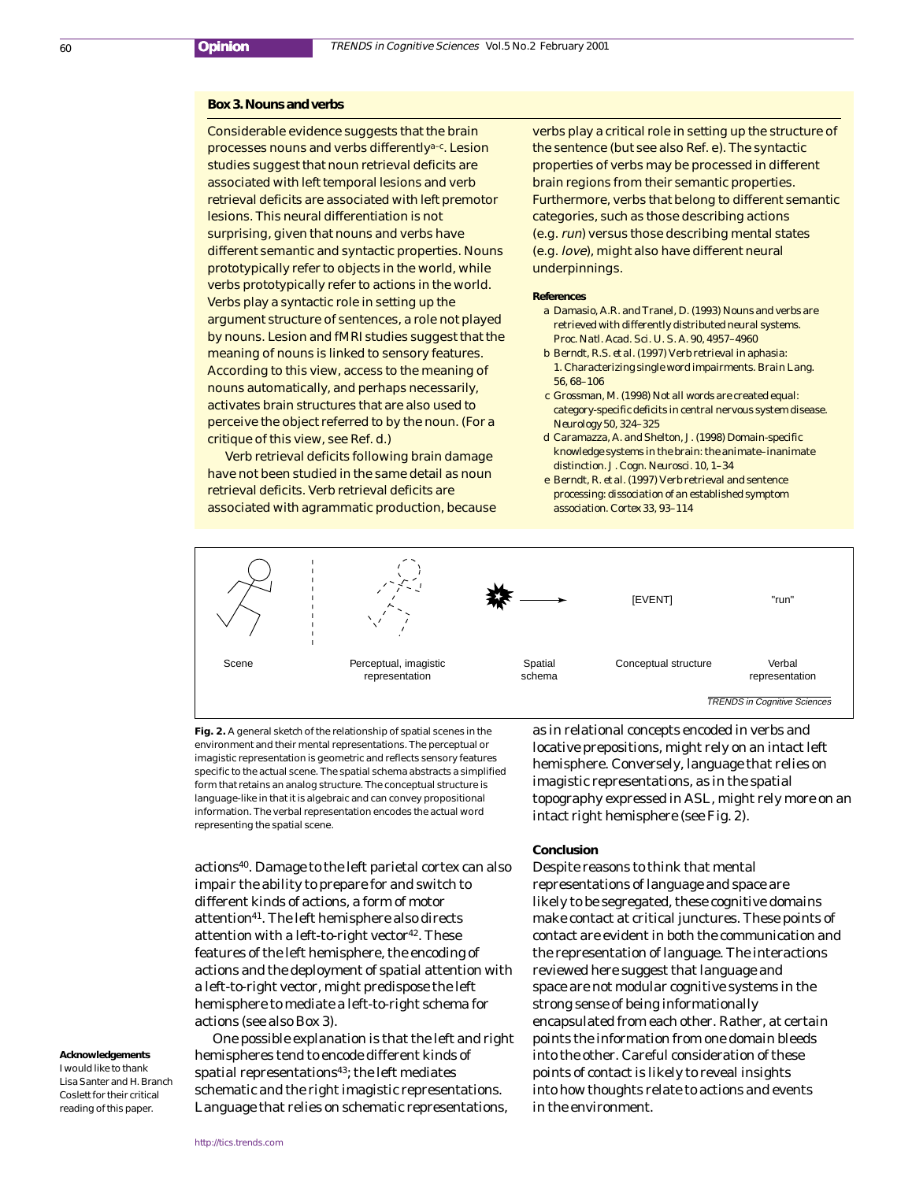# **Box 3. Nouns and verbs**

Considerable evidence suggests that the brain processes nouns and verbs differentlya–c. Lesion studies suggest that noun retrieval deficits are associated with left temporal lesions and verb retrieval deficits are associated with left premotor lesions. This neural differentiation is not surprising, given that nouns and verbs have different semantic and syntactic properties. Nouns prototypically refer to objects in the world, while verbs prototypically refer to actions in the world. Verbs play a syntactic role in setting up the argument structure of sentences, a role not played by nouns. Lesion and fMRI studies suggest that the meaning of nouns is linked to sensory features. According to this view, access to the meaning of nouns automatically, and perhaps necessarily, activates brain structures that are also used to perceive the object referred to by the noun. (For a critique of this view, see Ref. d.)

Verb retrieval deficits following brain damage have not been studied in the same detail as noun retrieval deficits. Verb retrieval deficits are associated with agrammatic production, because verbs play a critical role in setting up the structure of the sentence (but see also Ref. e). The syntactic properties of verbs may be processed in different brain regions from their semantic properties. Furthermore, verbs that belong to different semantic categories, such as those describing actions (e.g. run) versus those describing mental states (e.g. love), might also have different neural underpinnings.

#### **References**

- a Damasio, A.R. and Tranel, D. (1993) Nouns and verbs are retrieved with differently distributed neural systems. *Proc. Natl. Acad. Sci. U. S. A.* 90, 4957–4960
- b Berndt, R.S. *et al.* (1997) Verb retrieval in aphasia: 1. Characterizing single word impairments. *Brain Lang.* 56, 68–106
- c Grossman, M. (1998) Not all words are created equal: category-specific deficits in central nervous system disease. *Neurology* 50, 324–325
- d Caramazza, A. and Shelton, J. (1998) Domain-specific knowledge systems in the brain: the animate–inanimate distinction. *J. Cogn. Neurosci.* 10, 1–34
- e Berndt, R. *et al.* (1997) Verb retrieval and sentence processing: dissociation of an established symptom association. *Cortex* 33, 93–114



**Fig. 2.** A general sketch of the relationship of spatial scenes in the environment and their mental representations. The perceptual or imagistic representation is geometric and reflects sensory features specific to the actual scene. The spatial schema abstracts a simplified form that retains an analog structure. The conceptual structure is language-like in that it is algebraic and can convey propositional information. The verbal representation encodes the actual word representing the spatial scene.

actions40. Damage to the left parietal cortex can also impair the ability to prepare for and switch to different kinds of actions, a form of motor attention<sup>41</sup>. The left hemisphere also directs attention with a left-to-right vector<sup>42</sup>. These features of the left hemisphere, the encoding of actions and the deployment of spatial attention with a left-to-right vector, might predispose the left hemisphere to mediate a left-to-right schema for actions (see also Box 3).

One possible explanation is that the left and right hemispheres tend to encode different kinds of spatial representations $43$ ; the left mediates schematic and the right imagistic representations. Language that relies on schematic representations,

as in relational concepts encoded in verbs and locative prepositions, might rely on an intact left hemisphere. Conversely, language that relies on imagistic representations, as in the spatial topography expressed in ASL, might rely more on an intact right hemisphere (see Fig. 2).

#### **Conclusion**

Despite reasons to think that mental representations of language and space are likely to be segregated, these cognitive domains make contact at critical junctures. These points of contact are evident in both the communication and the representation of language. The interactions reviewed here suggest that language and space are not modular cognitive systems in the strong sense of being informationally encapsulated from each other. Rather, at certain points the information from one domain bleeds into the other. Careful consideration of these points of contact is likely to reveal insights into how thoughts relate to actions and events in the environment.

**Acknowledgements** I would like to thank Lisa Santer and H. Branch Coslett for their critical

reading of this paper.